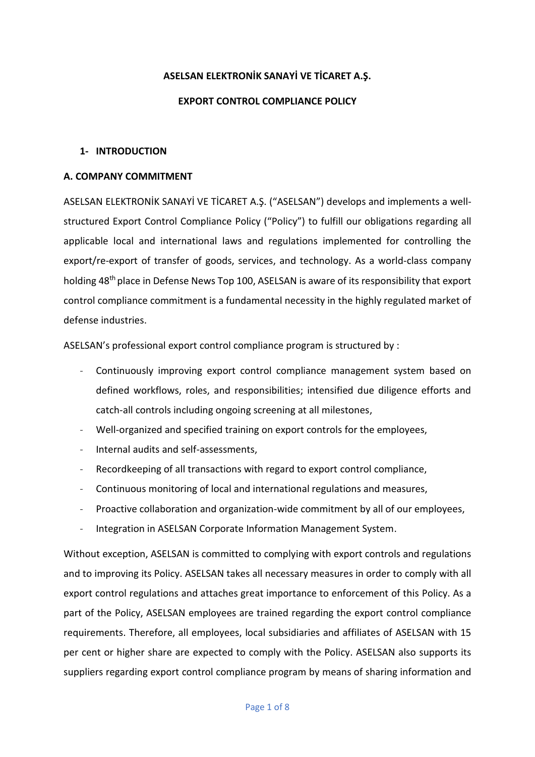### **ASELSAN ELEKTRONİK SANAYİ VE TİCARET A.Ş.**

### **EXPORT CONTROL COMPLIANCE POLICY**

### **1- INTRODUCTION**

### **A. COMPANY COMMITMENT**

ASELSAN ELEKTRONİK SANAYİ VE TİCARET A.Ş. ("ASELSAN") develops and implements a wellstructured Export Control Compliance Policy ("Policy") to fulfill our obligations regarding all applicable local and international laws and regulations implemented for controlling the export/re-export of transfer of goods, services, and technology. As a world-class company holding 48th place in Defense News Top 100, ASELSAN is aware of its responsibility that export control compliance commitment is a fundamental necessity in the highly regulated market of defense industries.

ASELSAN's professional export control compliance program is structured by :

- Continuously improving export control compliance management system based on defined workflows, roles, and responsibilities; intensified due diligence efforts and catch-all controls including ongoing screening at all milestones,
- Well-organized and specified training on export controls for the employees,
- Internal audits and self-assessments,
- Recordkeeping of all transactions with regard to export control compliance,
- Continuous monitoring of local and international regulations and measures,
- Proactive collaboration and organization-wide commitment by all of our employees,
- Integration in ASELSAN Corporate Information Management System.

Without exception, ASELSAN is committed to complying with export controls and regulations and to improving its Policy. ASELSAN takes all necessary measures in order to comply with all export control regulations and attaches great importance to enforcement of this Policy. As a part of the Policy, ASELSAN employees are trained regarding the export control compliance requirements. Therefore, all employees, local subsidiaries and affiliates of ASELSAN with 15 per cent or higher share are expected to comply with the Policy. ASELSAN also supports its suppliers regarding export control compliance program by means of sharing information and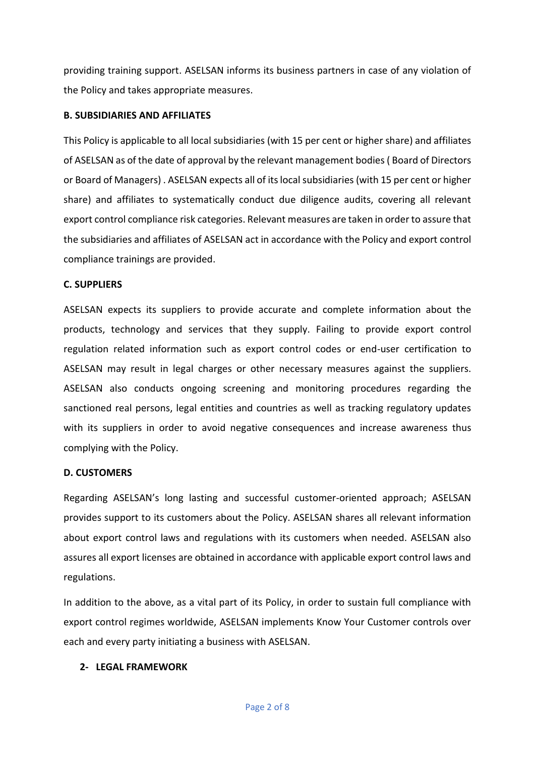providing training support. ASELSAN informs its business partners in case of any violation of the Policy and takes appropriate measures.

## **B. SUBSIDIARIES AND AFFILIATES**

This Policy is applicable to all local subsidiaries (with 15 per cent or higher share) and affiliates of ASELSAN as of the date of approval by the relevant management bodies( Board of Directors or Board of Managers) . ASELSAN expects all of its local subsidiaries (with 15 per cent or higher share) and affiliates to systematically conduct due diligence audits, covering all relevant export control compliance risk categories. Relevant measures are taken in order to assure that the subsidiaries and affiliates of ASELSAN act in accordance with the Policy and export control compliance trainings are provided.

# **C. SUPPLIERS**

ASELSAN expects its suppliers to provide accurate and complete information about the products, technology and services that they supply. Failing to provide export control regulation related information such as export control codes or end-user certification to ASELSAN may result in legal charges or other necessary measures against the suppliers. ASELSAN also conducts ongoing screening and monitoring procedures regarding the sanctioned real persons, legal entities and countries as well as tracking regulatory updates with its suppliers in order to avoid negative consequences and increase awareness thus complying with the Policy.

# **D. CUSTOMERS**

Regarding ASELSAN's long lasting and successful customer-oriented approach; ASELSAN provides support to its customers about the Policy. ASELSAN shares all relevant information about export control laws and regulations with its customers when needed. ASELSAN also assures all export licenses are obtained in accordance with applicable export control laws and regulations.

In addition to the above, as a vital part of its Policy, in order to sustain full compliance with export control regimes worldwide, ASELSAN implements Know Your Customer controls over each and every party initiating a business with ASELSAN.

### **2- LEGAL FRAMEWORK**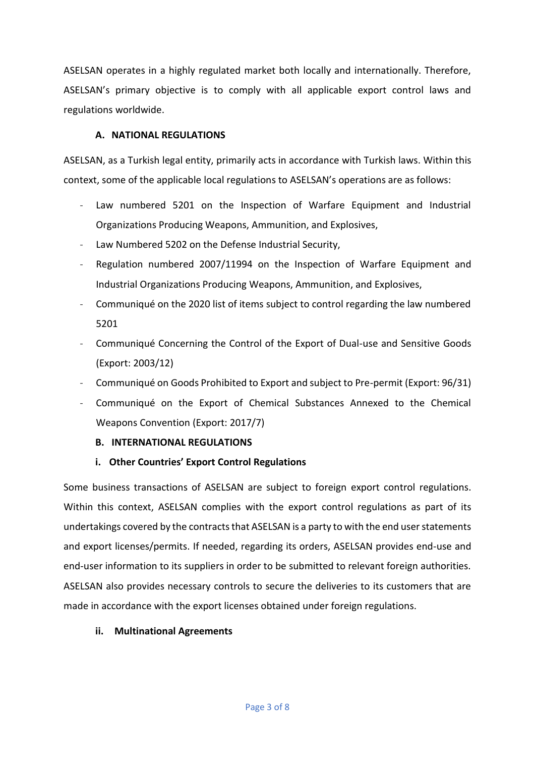ASELSAN operates in a highly regulated market both locally and internationally. Therefore, ASELSAN's primary objective is to comply with all applicable export control laws and regulations worldwide.

## **A. NATIONAL REGULATIONS**

ASELSAN, as a Turkish legal entity, primarily acts in accordance with Turkish laws. Within this context, some of the applicable local regulations to ASELSAN's operations are as follows:

- Law numbered 5201 on the Inspection of Warfare Equipment and Industrial Organizations Producing Weapons, Ammunition, and Explosives,
- Law Numbered 5202 on the Defense Industrial Security,
- Regulation numbered 2007/11994 on the Inspection of Warfare Equipment and Industrial Organizations Producing Weapons, Ammunition, and Explosives,
- Communiqué on the 2020 list of items subject to control regarding the law numbered 5201
- Communiqué Concerning the Control of the Export of Dual-use and Sensitive Goods (Export: 2003/12)
- Communiqué on Goods Prohibited to Export and subject to Pre-permit (Export: 96/31)
- Communiqué on the Export of Chemical Substances Annexed to the Chemical Weapons Convention (Export: 2017/7)
	- **B. INTERNATIONAL REGULATIONS**

# **i. Other Countries' Export Control Regulations**

Some business transactions of ASELSAN are subject to foreign export control regulations. Within this context, ASELSAN complies with the export control regulations as part of its undertakings covered by the contracts that ASELSAN is a party to with the end user statements and export licenses/permits. If needed, regarding its orders, ASELSAN provides end-use and end-user information to its suppliers in order to be submitted to relevant foreign authorities. ASELSAN also provides necessary controls to secure the deliveries to its customers that are made in accordance with the export licenses obtained under foreign regulations.

### **ii. Multinational Agreements**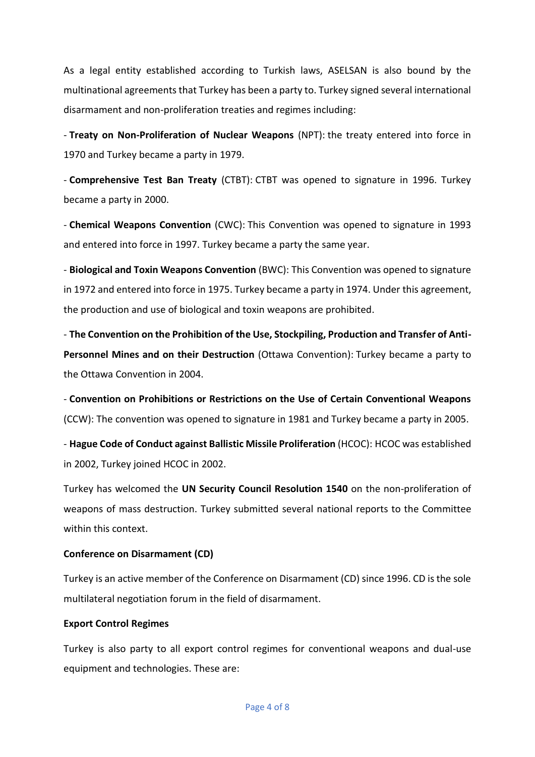As a legal entity established according to Turkish laws, ASELSAN is also bound by the multinational agreements that Turkey has been a party to. Turkey signed several international disarmament and non-proliferation treaties and regimes including:

- **Treaty on Non-Proliferation of Nuclear Weapons** (NPT): the treaty entered into force in 1970 and Turkey became a party in 1979.

- **Comprehensive Test Ban Treaty** (CTBT): CTBT was opened to signature in 1996. Turkey became a party in 2000.

- **Chemical Weapons Convention** (CWC): This Convention was opened to signature in 1993 and entered into force in 1997. Turkey became a party the same year.

- **Biological and Toxin Weapons Convention** (BWC): This Convention was opened to signature in 1972 and entered into force in 1975. Turkey became a party in 1974. Under this agreement, the production and use of biological and toxin weapons are prohibited.

- **The Convention on the Prohibition of the Use, Stockpiling, Production and Transfer of Anti-Personnel Mines and on their Destruction** (Ottawa Convention): Turkey became a party to the Ottawa Convention in 2004.

- **Convention on Prohibitions or Restrictions on the Use of Certain Conventional Weapons** (CCW): The convention was opened to signature in 1981 and Turkey became a party in 2005.

- **Hague Code of Conduct against Ballistic Missile Proliferation** (HCOC): HCOC was established in 2002, Turkey joined HCOC in 2002.

Turkey has welcomed the **UN Security Council Resolution 1540** on the non-proliferation of weapons of mass destruction. Turkey submitted several national reports to the Committee within this context.

# **Conference on Disarmament (CD)**

Turkey is an active member of the Conference on Disarmament (CD) since 1996. CD is the sole multilateral negotiation forum in the field of disarmament.

### **Export Control Regimes**

Turkey is also party to all export control regimes for conventional weapons and dual-use equipment and technologies. These are: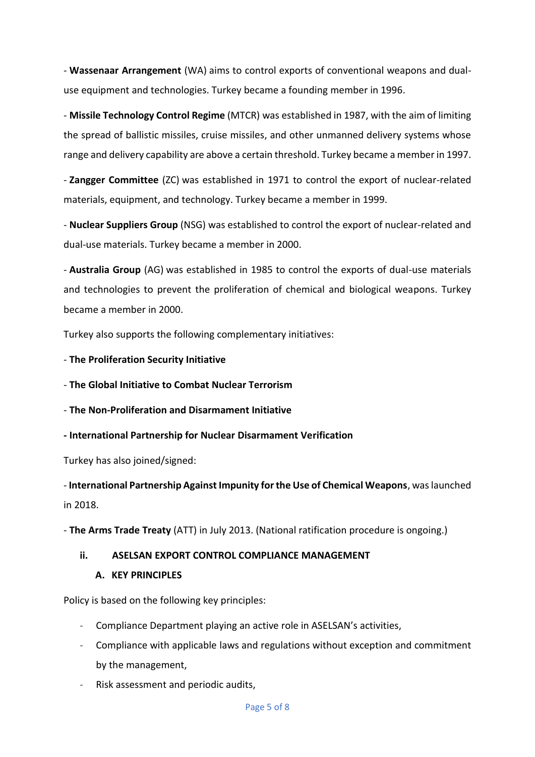- **Wassenaar Arrangement** (WA) aims to control exports of conventional weapons and dualuse equipment and technologies. Turkey became a founding member in 1996.

- **Missile Technology Control Regime** (MTCR) was established in 1987, with the aim of limiting the spread of ballistic missiles, cruise missiles, and other unmanned delivery systems whose range and delivery capability are above a certain threshold. Turkey became a member in 1997.

- **Zangger Committee** (ZC) was established in 1971 to control the export of nuclear-related materials, equipment, and technology. Turkey became a member in 1999.

- **Nuclear Suppliers Group** (NSG) was established to control the export of nuclear-related and dual-use materials. Turkey became a member in 2000.

- **Australia Group** (AG) was established in 1985 to control the exports of dual-use materials and technologies to prevent the proliferation of chemical and biological weapons. Turkey became a member in 2000.

Turkey also supports the following complementary initiatives:

- **The Proliferation Security Initiative**

- **The Global Initiative to Combat Nuclear Terrorism**

- **The Non-Proliferation and Disarmament Initiative**

**- International Partnership for Nuclear Disarmament Verification**

Turkey has also joined/signed:

- **International Partnership Against Impunity for the Use of Chemical Weapons**, was launched in 2018.

- **The Arms Trade Treaty** (ATT) in July 2013. (National ratification procedure is ongoing.)

# **ii. ASELSAN EXPORT CONTROL COMPLIANCE MANAGEMENT**

### **A. KEY PRINCIPLES**

Policy is based on the following key principles:

- Compliance Department playing an active role in ASELSAN's activities,
- Compliance with applicable laws and regulations without exception and commitment by the management,
- Risk assessment and periodic audits,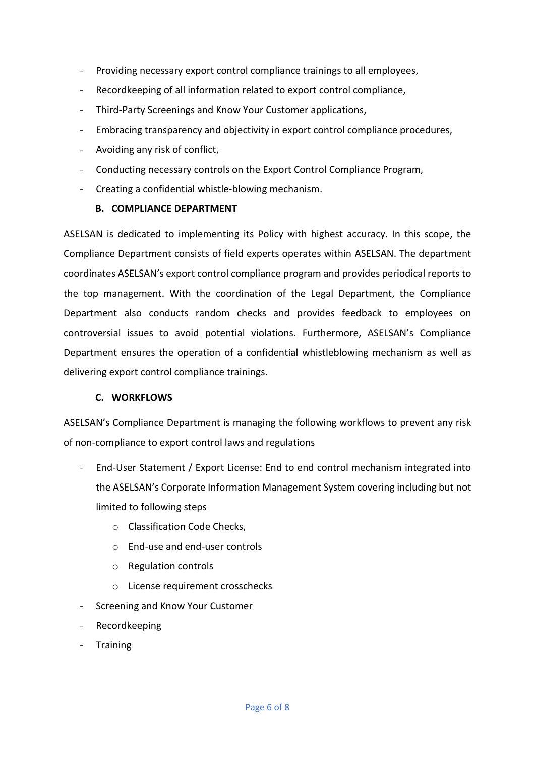- Providing necessary export control compliance trainings to all employees,
- Recordkeeping of all information related to export control compliance,
- Third-Party Screenings and Know Your Customer applications,
- Embracing transparency and objectivity in export control compliance procedures,
- Avoiding any risk of conflict,
- Conducting necessary controls on the Export Control Compliance Program,
- Creating a confidential whistle-blowing mechanism.

### **B. COMPLIANCE DEPARTMENT**

ASELSAN is dedicated to implementing its Policy with highest accuracy. In this scope, the Compliance Department consists of field experts operates within ASELSAN. The department coordinates ASELSAN's export control compliance program and provides periodical reports to the top management. With the coordination of the Legal Department, the Compliance Department also conducts random checks and provides feedback to employees on controversial issues to avoid potential violations. Furthermore, ASELSAN's Compliance Department ensures the operation of a confidential whistleblowing mechanism as well as delivering export control compliance trainings.

### **C. WORKFLOWS**

ASELSAN's Compliance Department is managing the following workflows to prevent any risk of non-compliance to export control laws and regulations

- End-User Statement / Export License: End to end control mechanism integrated into the ASELSAN's Corporate Information Management System covering including but not limited to following steps
	- o Classification Code Checks,
	- o End-use and end-user controls
	- o Regulation controls
	- o License requirement crosschecks
- Screening and Know Your Customer
- **Recordkeeping**
- Training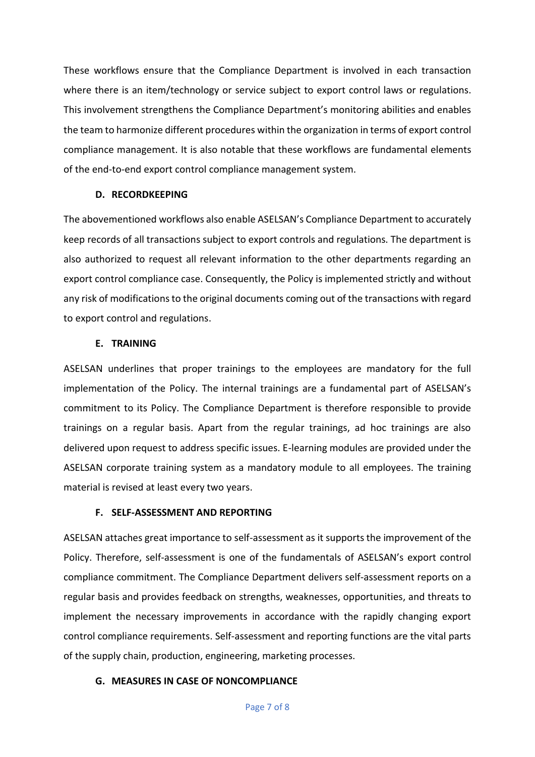These workflows ensure that the Compliance Department is involved in each transaction where there is an item/technology or service subject to export control laws or regulations. This involvement strengthens the Compliance Department's monitoring abilities and enables the team to harmonize different procedures within the organization in terms of export control compliance management. It is also notable that these workflows are fundamental elements of the end-to-end export control compliance management system.

#### **D. RECORDKEEPING**

The abovementioned workflows also enable ASELSAN's Compliance Department to accurately keep records of all transactions subject to export controls and regulations. The department is also authorized to request all relevant information to the other departments regarding an export control compliance case. Consequently, the Policy is implemented strictly and without any risk of modifications to the original documents coming out of the transactions with regard to export control and regulations.

#### **E. TRAINING**

ASELSAN underlines that proper trainings to the employees are mandatory for the full implementation of the Policy. The internal trainings are a fundamental part of ASELSAN's commitment to its Policy. The Compliance Department is therefore responsible to provide trainings on a regular basis. Apart from the regular trainings, ad hoc trainings are also delivered upon request to address specific issues. E-learning modules are provided under the ASELSAN corporate training system as a mandatory module to all employees. The training material is revised at least every two years.

#### **F. SELF-ASSESSMENT AND REPORTING**

ASELSAN attaches great importance to self-assessment as it supports the improvement of the Policy. Therefore, self-assessment is one of the fundamentals of ASELSAN's export control compliance commitment. The Compliance Department delivers self-assessment reports on a regular basis and provides feedback on strengths, weaknesses, opportunities, and threats to implement the necessary improvements in accordance with the rapidly changing export control compliance requirements. Self-assessment and reporting functions are the vital parts of the supply chain, production, engineering, marketing processes.

#### **G. MEASURES IN CASE OF NONCOMPLIANCE**